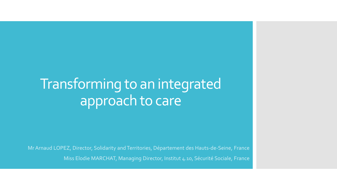# Transforming to an integrated approach to care

Mr Arnaud LOPEZ, Director, Solidarity and Territories, Département des Hauts-de-Seine, France

Miss Elodie MARCHAT, Managing Director, Institut 4.10, Sécurité Sociale, France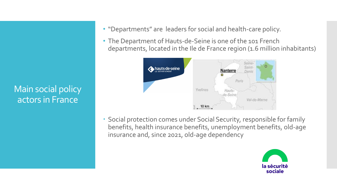Main social policy actors in France

- "Departments" are leaders for social and health-care policy.
- The Department of Hauts-de-Seine is one of the 101 French departments, located in the Ile de France region (1.6 million inhabitants)



 Social protection comes under Social Security, responsible for family benefits, health insurance benefits, unemployment benefits, old-age insurance and, since 2021, old-age dependency

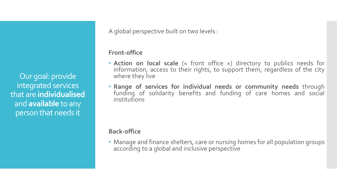Our goal: provide integrated services that are **individualised** and **available** to any person that needs it

A global perspective built on two levels :

#### **Front-office**

- **Action on local scale** (« front office ») directory to publics needs for information, access to their rights, to support them, regardless of the city where they live
- **Range of services for individual needs or community needs** through funding of solidarity benefits and funding of care homes and social institutions

### **Back-office**

• Manage and finance shelters, care or nursing homes for all population groups according to a global and inclusive perspective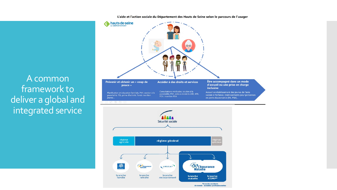L'aide et l'action sociale du Département des Hauts de Seine selon le parcours de l'usager



A common framework to deliver a global and integrated service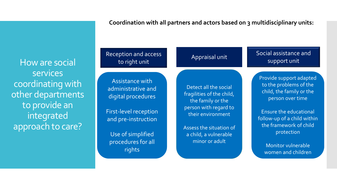**Coordination with all partners and actors based on 3 multidisciplinary units:**

How are social services coordinating with other departments to provide an integrated approach to care?

## Reception and access

Assistance with administrative and digital procedures

First-level reception and pre-instruction

Use of simplified procedures for all rights

Detect all the social fragilities of the child, the family or the person with regard to their environment

Assess the situation of a child, a vulnerable minor or adult

ption and access and access appraisal unit and Social assistance and support unit support unit

> Provide support adapted to the problems of the child, the family or the person over time

Ensure the educational follow-up of a child within the framework of child protection

Monitor vulnerable women and children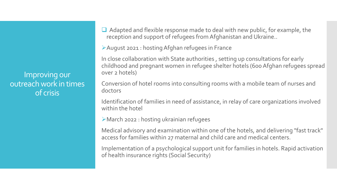Improving our outreach work in times of crisis

 $\Box$  Adapted and flexible response made to deal with new public, for example, the reception and support of refugees from Afghanistan and Ukraine..

August 2021 : hosting Afghan refugees in France

In close collaboration with State authorities , setting up consultations for early childhood and pregnant women in refugee shelter hotels (600 Afghan refugees spread over 2 hotels)

Conversion of hotel rooms into consulting rooms with a mobile team of nurses and doctors

Identification of families in need of assistance, in relay of care organizations involved within the hotel

March 2022 : hosting ukrainian refugees

Medical advisory and examination within one of the hotels, and delivering "fast track" access for families within 27 maternal and child care and medical centers.

Implementation of a psychological support unit for families in hotels. Rapid activation of health insurance rights (Social Security)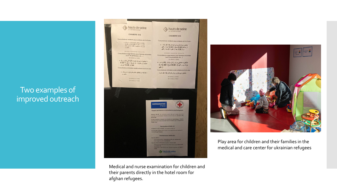## Two examples of improved outreach



Medical and nurse examination for children and their parents directly in the hotel room for afghan refugees.



Play area for children and their families in the medical and care center for ukrainian refugees